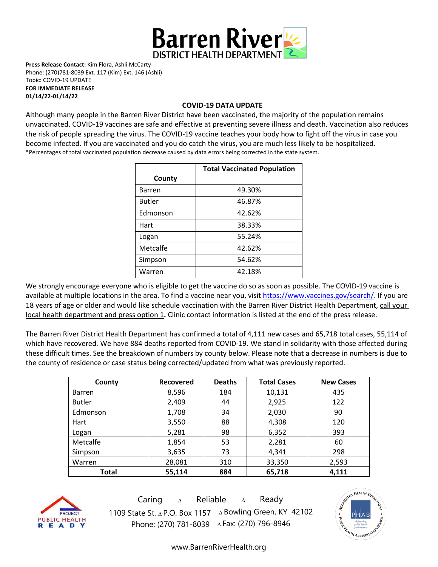

**Press Release Contact:** Kim Flora, Ashli McCarty Phone: (270)781-8039 Ext. 117 (Kim) Ext. 146 (Ashli) Topic: COVID-19 UPDATE **FOR IMMEDIATE RELEASE** 

**01/14/22-01/14/22**

#### **COVID-19 DATA UPDATE**

Although many people in the Barren River District have been vaccinated, the majority of the population remains unvaccinated. COVID-19 vaccines are [safe and effective](https://www.cdc.gov/coronavirus/2019-ncov/vaccines/effectiveness.html) at preventing severe illness and death. Vaccination also reduces the risk of people spreading the virus. The COVID-19 vaccine teaches your body how to fight off the virus in case you become infected. If you are vaccinated and you do catch the virus, you are much less likely to be hospitalized. \*Percentages of total vaccinated population decrease caused by data errors being corrected in the state system.

|               | <b>Total Vaccinated Population</b> |  |  |
|---------------|------------------------------------|--|--|
| County        |                                    |  |  |
| <b>Barren</b> | 49.30%                             |  |  |
| <b>Butler</b> | 46.87%                             |  |  |
| Edmonson      | 42.62%                             |  |  |
| Hart          | 38.33%                             |  |  |
| Logan         | 55.24%                             |  |  |
| Metcalfe      | 42.62%                             |  |  |
| Simpson       | 54.62%                             |  |  |
| Warren        | 42.18%                             |  |  |

We strongly encourage everyone who is eligible to get the vaccine do so as soon as possible. The COVID-19 vaccine is available at multiple locations in the area. To find a vaccine near you, visi[t https://www.vaccines.gov/search/.](https://www.vaccines.gov/search/) If you are 18 years of age or older and would like schedule vaccination with the Barren River District Health Department, call your local health department and press option 1**.** Clinic contact information is listed at the end of the press release.

The Barren River District Health Department has confirmed a total of 4,111 new cases and 65,718 total cases, 55,114 of which have recovered. We have 884 deaths reported from COVID-19. We stand in solidarity with those affected during these difficult times. See the breakdown of numbers by county below. Please note that a decrease in numbers is due to the county of residence or case status being corrected/updated from what was previously reported.

| County        | <b>Recovered</b> | <b>Deaths</b> | <b>Total Cases</b> | <b>New Cases</b> |
|---------------|------------------|---------------|--------------------|------------------|
| <b>Barren</b> | 8,596            | 184           | 10,131             | 435              |
| <b>Butler</b> | 2,409            | 44            | 2,925              | 122              |
| Edmonson      | 1,708            | 34            | 2,030              | 90               |
| Hart          | 3,550            | 88            | 4,308              | 120              |
| Logan         | 5,281            | 98            | 6,352              | 393              |
| Metcalfe      | 1,854            | 53            | 2,281              | 60               |
| Simpson       | 3,635            | 73            | 4,341              | 298              |
| Warren        | 28,081           | 310           | 33,350             | 2,593            |
| Total         | 55,114           | 884           | 65,718             | 4,111            |



Caring <sup>∆</sup> Reliable <sup>∆</sup> Ready 1109 State St. ∆ P.O. Box 1157 ∆ Bowling Green, KY 42102 Phone: (270) 781-8039 ∆Fax: (270) 796-8946



[www.BarrenRiverHealth.org](http://www.barrenriverhealth.org/)